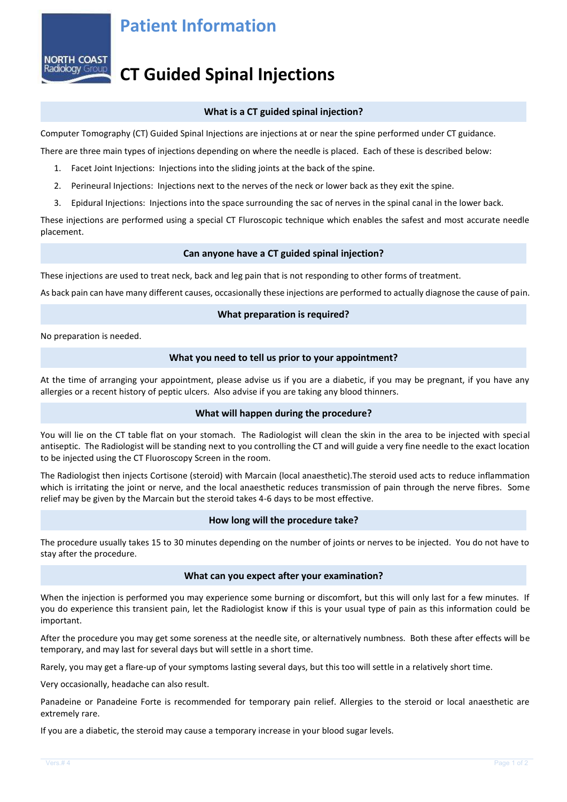## **Patient Information**



# **CT Guided Spinal Injections**

### **What is a CT guided spinal injection?**

Computer Tomography (CT) Guided Spinal Injections are injections at or near the spine performed under CT guidance.

There are three main types of injections depending on where the needle is placed. Each of these is described below:

- 1. Facet Joint Injections: Injections into the sliding joints at the back of the spine.
- 2. Perineural Injections: Injections next to the nerves of the neck or lower back as they exit the spine.
- 3. Epidural Injections: Injections into the space surrounding the sac of nerves in the spinal canal in the lower back.

These injections are performed using a special CT Fluroscopic technique which enables the safest and most accurate needle placement.

#### **Can anyone have a CT guided spinal injection?**

These injections are used to treat neck, back and leg pain that is not responding to other forms of treatment.

As back pain can have many different causes, occasionally these injections are performed to actually diagnose the cause of pain.

#### **What preparation is required?**

No preparation is needed.

#### **What you need to tell us prior to your appointment?**

At the time of arranging your appointment, please advise us if you are a diabetic, if you may be pregnant, if you have any allergies or a recent history of peptic ulcers. Also advise if you are taking any blood thinners.

### **What will happen during the procedure?**

You will lie on the CT table flat on your stomach. The Radiologist will clean the skin in the area to be injected with special antiseptic. The Radiologist will be standing next to you controlling the CT and will guide a very fine needle to the exact location to be injected using the CT Fluoroscopy Screen in the room.

The Radiologist then injects Cortisone (steroid) with Marcain (local anaesthetic).The steroid used acts to reduce inflammation which is irritating the joint or nerve, and the local anaesthetic reduces transmission of pain through the nerve fibres. Some relief may be given by the Marcain but the steroid takes 4-6 days to be most effective.

### **How long will the procedure take?**

The procedure usually takes 15 to 30 minutes depending on the number of joints or nerves to be injected. You do not have to stay after the procedure.

#### **What can you expect after your examination?**

When the injection is performed you may experience some burning or discomfort, but this will only last for a few minutes. If you do experience this transient pain, let the Radiologist know if this is your usual type of pain as this information could be important.

After the procedure you may get some soreness at the needle site, or alternatively numbness. Both these after effects will be temporary, and may last for several days but will settle in a short time.

Rarely, you may get a flare-up of your symptoms lasting several days, but this too will settle in a relatively short time.

Very occasionally, headache can also result.

Panadeine or Panadeine Forte is recommended for temporary pain relief. Allergies to the steroid or local anaesthetic are extremely rare.

If you are a diabetic, the steroid may cause a temporary increase in your blood sugar levels.